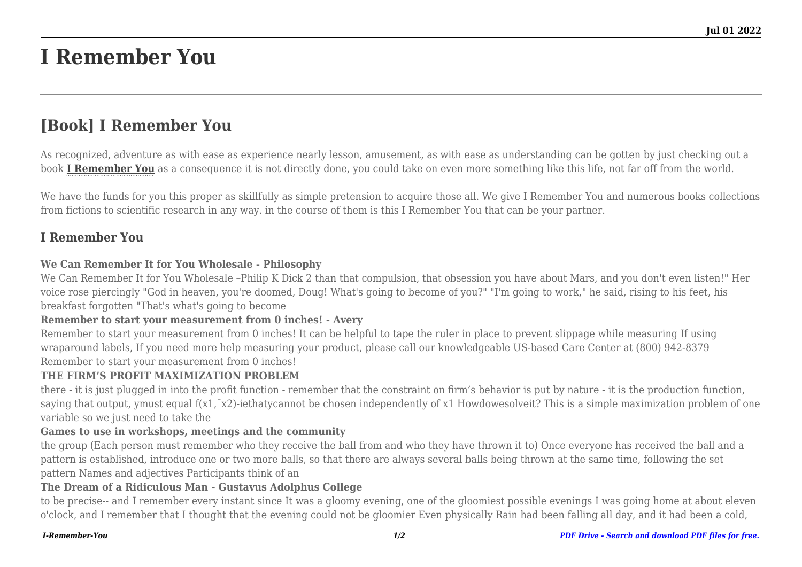# **I Remember You**

# **[Book] I Remember You**

As recognized, adventure as with ease as experience nearly lesson, amusement, as with ease as understanding can be gotten by just checking out a book **[I Remember You](http://goldwoodgardens.com)** as a consequence it is not directly done, you could take on even more something like this life, not far off from the world.

We have the funds for you this proper as skillfully as simple pretension to acquire those all. We give I Remember You and numerous books collections from fictions to scientific research in any way. in the course of them is this I Remember You that can be your partner.

# **[I Remember You](http://goldwoodgardens.com/I-Remember-You.pdf)**

#### **We Can Remember It for You Wholesale - Philosophy**

We Can Remember It for You Wholesale –Philip K Dick 2 than that compulsion, that obsession you have about Mars, and you don't even listen!" Her voice rose piercingly "God in heaven, you're doomed, Doug! What's going to become of you?" "I'm going to work," he said, rising to his feet, his breakfast forgotten "That's what's going to become

#### **Remember to start your measurement from 0 inches! - Avery**

Remember to start your measurement from 0 inches! It can be helpful to tape the ruler in place to prevent slippage while measuring If using wraparound labels, If you need more help measuring your product, please call our knowledgeable US-based Care Center at (800) 942-8379 Remember to start your measurement from 0 inches!

#### **THE FIRM'S PROFIT MAXIMIZATION PROBLEM**

there - it is just plugged in into the profit function - remember that the constraint on firm's behavior is put by nature - it is the production function, saying that output, ymust equal f(x1, $\bar{x}$ 2)-iethatycannot be chosen independently of x1 Howdowesolveit? This is a simple maximization problem of one variable so we just need to take the

#### **Games to use in workshops, meetings and the community**

the group (Each person must remember who they receive the ball from and who they have thrown it to) Once everyone has received the ball and a pattern is established, introduce one or two more balls, so that there are always several balls being thrown at the same time, following the set pattern Names and adjectives Participants think of an

#### **The Dream of a Ridiculous Man - Gustavus Adolphus College**

to be precise-- and I remember every instant since It was a gloomy evening, one of the gloomiest possible evenings I was going home at about eleven o'clock, and I remember that I thought that the evening could not be gloomier Even physically Rain had been falling all day, and it had been a cold,